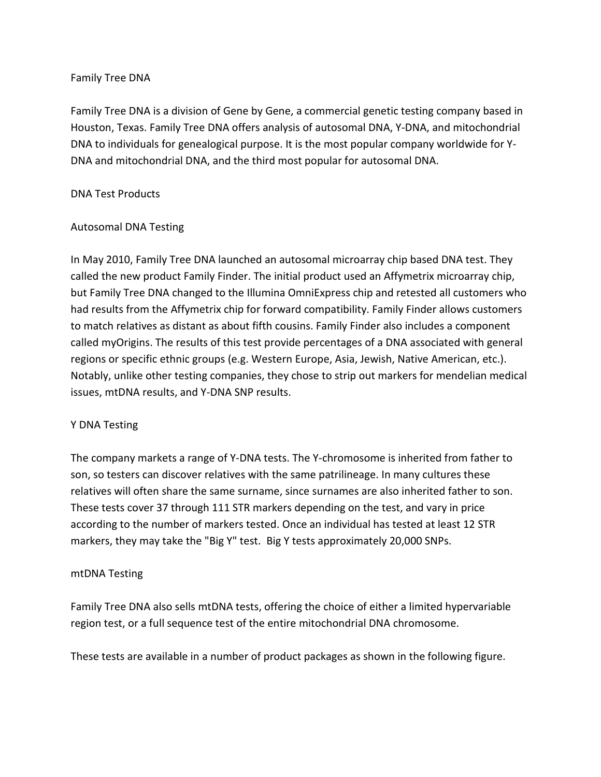## Family Tree DNA

Family Tree DNA is a division of Gene by Gene, a commercial genetic testing company based in Houston, Texas. Family Tree DNA offers analysis of autosomal DNA, Y-DNA, and mitochondrial DNA to individuals for genealogical purpose. It is the most popular company worldwide for Y-DNA and mitochondrial DNA, and the third most popular for autosomal DNA.

## DNA Test Products

# Autosomal DNA Testing

In May 2010, Family Tree DNA launched an autosomal microarray chip based DNA test. They called the new product Family Finder. The initial product used an Affymetrix microarray chip, but Family Tree DNA changed to the Illumina OmniExpress chip and retested all customers who had results from the Affymetrix chip for forward compatibility. Family Finder allows customers to match relatives as distant as about fifth cousins. Family Finder also includes a component called myOrigins. The results of this test provide percentages of a DNA associated with general regions or specific ethnic groups (e.g. Western Europe, Asia, Jewish, Native American, etc.). Notably, unlike other testing companies, they chose to strip out markers for mendelian medical issues, mtDNA results, and Y-DNA SNP results.

## Y DNA Testing

The company markets a range of Y-DNA tests. The Y-chromosome is inherited from father to son, so testers can discover relatives with the same patrilineage. In many cultures these relatives will often share the same surname, since surnames are also inherited father to son. These tests cover 37 through 111 STR markers depending on the test, and vary in price according to the number of markers tested. Once an individual has tested at least 12 STR markers, they may take the "Big Y" test. Big Y tests approximately 20,000 SNPs.

## mtDNA Testing

Family Tree DNA also sells mtDNA tests, offering the choice of either a limited hypervariable region test, or a full sequence test of the entire mitochondrial DNA chromosome.

These tests are available in a number of product packages as shown in the following figure.